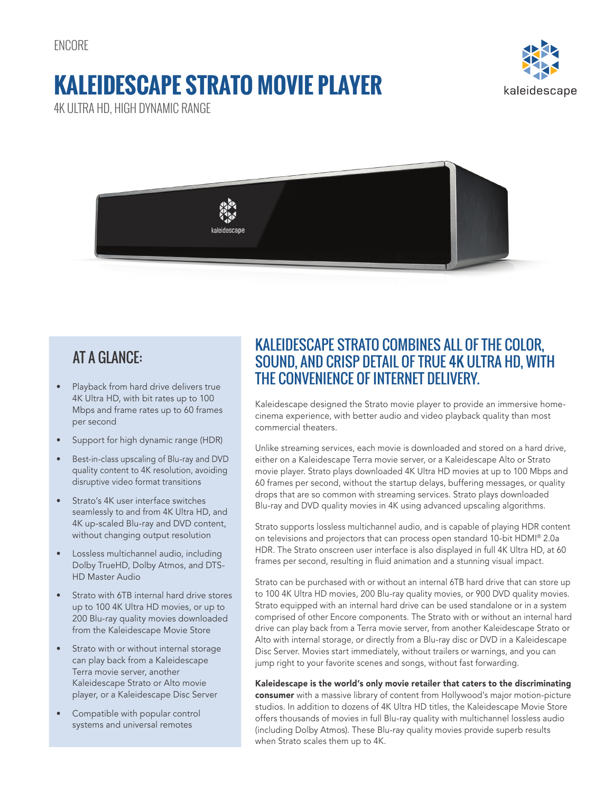ENCORE

# **KALEIDESCAPE STRATO MOVIE PLAYER**

kaleidescape

4K ULTRA HD, HIGH DYNAMIC RANGE



## AT A GLANCE:

- Playback from hard drive delivers true 4K Ultra HD, with bit rates up to 100 Mbps and frame rates up to 60 frames per second
- Support for high dynamic range (HDR)
- Best-in-class upscaling of Blu-ray and DVD quality content to 4K resolution, avoiding disruptive video format transitions
- Strato's 4K user interface switches seamlessly to and from 4K Ultra HD, and 4K up-scaled Blu-ray and DVD content, without changing output resolution
- Lossless multichannel audio, including Dolby TrueHD, Dolby Atmos, and DTS-HD Master Audio
- Strato with 6TB internal hard drive stores up to 100 4K Ultra HD movies, or up to 200 Blu-ray quality movies downloaded from the Kaleidescape Movie Store
- Strato with or without internal storage can play back from a Kaleidescape Terra movie server, another Kaleidescape Strato or Alto movie player, or a Kaleidescape Disc Server
- Compatible with popular control systems and universal remotes

### KALEIDESCAPE STRATO COMBINES ALL OF THE COLOR, SOUND, AND CRISP DETAIL OF TRUE 4K ULTRA HD, WITH THE CONVENIENCE OF INTERNET DELIVERY.

Kaleidescape designed the Strato movie player to provide an immersive homecinema experience, with better audio and video playback quality than most commercial theaters.

Unlike streaming services, each movie is downloaded and stored on a hard drive, either on a Kaleidescape Terra movie server, or a Kaleidescape Alto or Strato movie player. Strato plays downloaded 4K Ultra HD movies at up to 100 Mbps and 60 frames per second, without the startup delays, buffering messages, or quality drops that are so common with streaming services. Strato plays downloaded Blu-ray and DVD quality movies in 4K using advanced upscaling algorithms.

Strato supports lossless multichannel audio, and is capable of playing HDR content on televisions and projectors that can process open standard 10-bit HDMI® 2.0a HDR. The Strato onscreen user interface is also displayed in full 4K Ultra HD, at 60 frames per second, resulting in fluid animation and a stunning visual impact.

Strato can be purchased with or without an internal 6TB hard drive that can store up to 100 4K Ultra HD movies, 200 Blu-ray quality movies, or 900 DVD quality movies. Strato equipped with an internal hard drive can be used standalone or in a system comprised of other Encore components. The Strato with or without an internal hard drive can play back from a Terra movie server, from another Kaleidescape Strato or Alto with internal storage, or directly from a Blu-ray disc or DVD in a Kaleidescape Disc Server. Movies start immediately, without trailers or warnings, and you can jump right to your favorite scenes and songs, without fast forwarding.

Kaleidescape is the world's only movie retailer that caters to the discriminating consumer with a massive library of content from Hollywood's major motion-picture studios. In addition to dozens of 4K Ultra HD titles, the Kaleidescape Movie Store offers thousands of movies in full Blu-ray quality with multichannel lossless audio (including Dolby Atmos). These Blu-ray quality movies provide superb results when Strato scales them up to 4K.